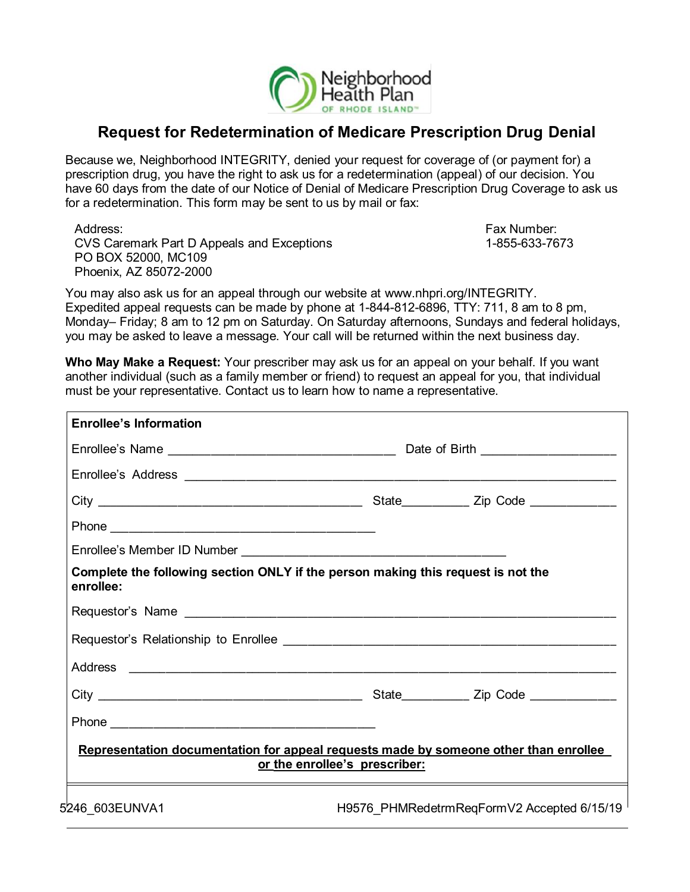

## **Request for Redetermination of Medicare Prescription Drug Denial**

Because we, Neighborhood INTEGRITY, denied your request for coverage of (or payment for) a prescription drug, you have the right to ask us for a redetermination (appeal) of our decision. You have 60 days from the date of our Notice of Denial of Medicare Prescription Drug Coverage to ask us for a redetermination. This form may be sent to us by mail or fax:

Address: Fax Number: Fax Number: Fax Number: Fax Number: Fax Number: Fax Number: Fax Number: Fax Number: Fax Number: Fax Number: Fax Number: Fax Number: Fax Number: Fax Number: Fax Number: Fax Number: Fax Number: Fax Numbe CVS Caremark Part D Appeals and Exceptions 1-855-633-7673 PO BOX 52000, MC109 Phoenix, AZ 85072-2000

You may also ask us for an appeal through our website at [www.nhpri.org/INTEGRITY.](http://www.nhpri.org/INTEGRITY.Expedited) [Expedited](http://www.nhpri.org/INTEGRITY.Expedited) appeal requests can be made by phone at 1-844-812-6896, TTY: 711, 8 am to 8 pm, Monday– Friday; 8 am to 12 pm on Saturday. On Saturday afternoons, Sundays and federal holidays, you may be asked to leave a message. Your call will be returned within the next business day.

**Who May Make a Request:** Your prescriber may ask us for an appeal on your behalf. If you want another individual (such as a family member or friend) to request an appeal for you, that individual must be your representative. Contact us to learn how to name a representative.

| <b>Enrollee's Information</b>                                                                 |                                            |  |  |
|-----------------------------------------------------------------------------------------------|--------------------------------------------|--|--|
|                                                                                               |                                            |  |  |
|                                                                                               |                                            |  |  |
|                                                                                               |                                            |  |  |
|                                                                                               |                                            |  |  |
|                                                                                               |                                            |  |  |
| Complete the following section ONLY if the person making this request is not the<br>enrollee: |                                            |  |  |
|                                                                                               |                                            |  |  |
|                                                                                               |                                            |  |  |
|                                                                                               |                                            |  |  |
|                                                                                               |                                            |  |  |
|                                                                                               |                                            |  |  |
| Representation documentation for appeal requests made by someone other than enrollee          | or the enrollee's prescriber:              |  |  |
| 5246_603EUNVA1                                                                                | H9576_PHMRedetrmReqFormV2 Accepted 6/15/19 |  |  |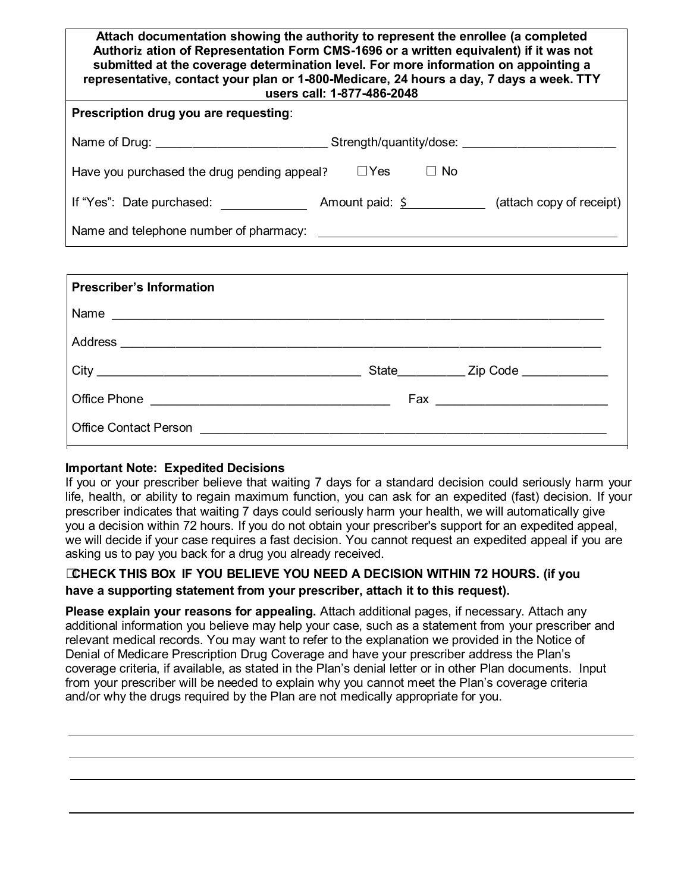| Attach documentation showing the authority to represent the enrollee (a completed<br>Authoriz ation of Representation Form CMS-1696 or a written equivalent) if it was not<br>submitted at the coverage determination level. For more information on appointing a<br>representative, contact your plan or 1-800-Medicare, 24 hours a day, 7 days a week. TTY<br>users call: 1-877-486-2048 |  |  |  |
|--------------------------------------------------------------------------------------------------------------------------------------------------------------------------------------------------------------------------------------------------------------------------------------------------------------------------------------------------------------------------------------------|--|--|--|
| Prescription drug you are requesting:                                                                                                                                                                                                                                                                                                                                                      |  |  |  |
| Name of Drug: example and the state of Drug Strength/quantity/dose:                                                                                                                                                                                                                                                                                                                        |  |  |  |
| $\Box Y$ es<br>$\Box$ No<br>Have you purchased the drug pending appeal?                                                                                                                                                                                                                                                                                                                    |  |  |  |
| If "Yes": Date purchased: $\blacksquare$ Amount paid: $\zeta$ (attach copy of receipt)                                                                                                                                                                                                                                                                                                     |  |  |  |
| Name and telephone number of pharmacy:                                                                                                                                                                                                                                                                                                                                                     |  |  |  |

| <b>Prescriber's Information</b> |                                           |
|---------------------------------|-------------------------------------------|
|                                 |                                           |
|                                 |                                           |
|                                 | State_____________ Zip Code _____________ |
|                                 |                                           |
|                                 |                                           |

## **Important Note: Expedited Decisions**

If you or your prescriber believe that waiting 7 days for a standard decision could seriously harm your life, health, or ability to regain maximum function, you can ask for an expedited (fast) decision. If your prescriber indicates that waiting 7 days could seriously harm your health, we will automatically give you a decision within 72 hours. If you do not obtain your prescriber's support for an expedited appeal, we will decide if your case requires a fast decision. You cannot request an expedited appeal if you are asking us to pay you back for a drug you already received.

## ☐**CHECK THIS BOX IF YOU BELIEVE YOU NEED A DECISION WITHIN 72 HOURS. (if you have a supporting statement from your prescriber, attach it to this request).**

**Please explain your reasons for appealing.** Attach additional pages, if necessary. Attach any additional information you believe may help your case, such as a statement from your prescriber and relevant medical records. You may want to refer to the explanation we provided in the Notice of Denial of Medicare Prescription Drug Coverage and have your prescriber address the Plan's coverage criteria, if available, as stated in the Plan's denial letter or in other Plan documents. Input from your prescriber will be needed to explain why you cannot meet the Plan's coverage criteria and/or why the drugs required by the Plan are not medically appropriate for you.